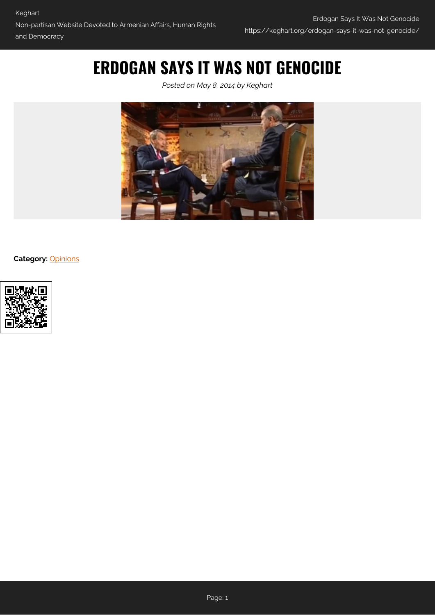## **ERDOGAN SAYS IT WAS NOT GENOCIDE**

*Posted on May 8, 2014 by Keghart*



**Category:** [Opinions](https://keghart.org/category/opinions/)

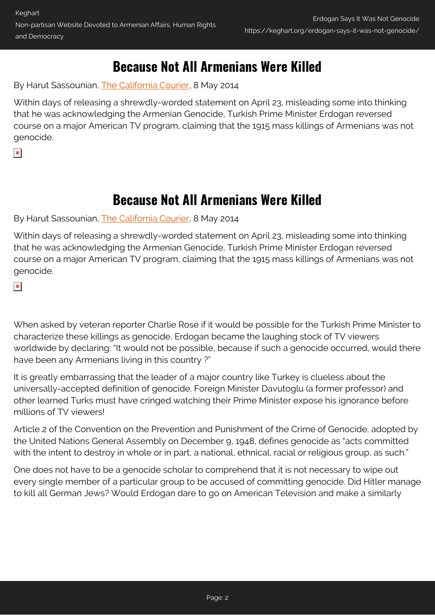## **Because Not All Armenians Were Killed**

By Harut Sassounian, [The California Courier,](http://www.TheCaliforniaCourier.com) 8 May 2014

Within days of releasing a shrewdly-worded statement on April 23, misleading some into thinking that he was acknowledging the Armenian Genocide, Turkish Prime Minister Erdogan reversed course on a major American TV program, claiming that the 1915 mass killings of Armenians was not genocide.

 $\pmb{\times}$ 

## **Because Not All Armenians Were Killed**

By Harut Sassounian, [The California Courier,](http://www.TheCaliforniaCourier.com) 8 May 2014

Within days of releasing a shrewdly-worded statement on April 23, misleading some into thinking that he was acknowledging the Armenian Genocide, Turkish Prime Minister Erdogan reversed course on a major American TV program, claiming that the 1915 mass killings of Armenians was not genocide.

 $\pmb{\times}$ 

When asked by veteran reporter Charlie Rose if it would be possible for the Turkish Prime Minister to characterize these killings as genocide, Erdogan became the laughing stock of TV viewers worldwide by declaring: "It would not be possible, because if such a genocide occurred, would there have been any Armenians living in this country ?"

It is greatly embarrassing that the leader of a major country like Turkey is clueless about the universally-accepted definition of genocide. Foreign Minister Davutoglu (a former professor) and other learned Turks must have cringed watching their Prime Minister expose his ignorance before millions of TV viewers!

Article 2 of the Convention on the Prevention and Punishment of the Crime of Genocide, adopted by the United Nations General Assembly on December 9, 1948, defines genocide as "acts committed with the intent to destroy in whole or in part, a national, ethnical, racial or religious group, as such."

One does not have to be a genocide scholar to comprehend that it is not necessary to wipe out every single member of a particular group to be accused of committing genocide. Did Hitler manage to kill all German Jews? Would Erdogan dare to go on American Television and make a similarly